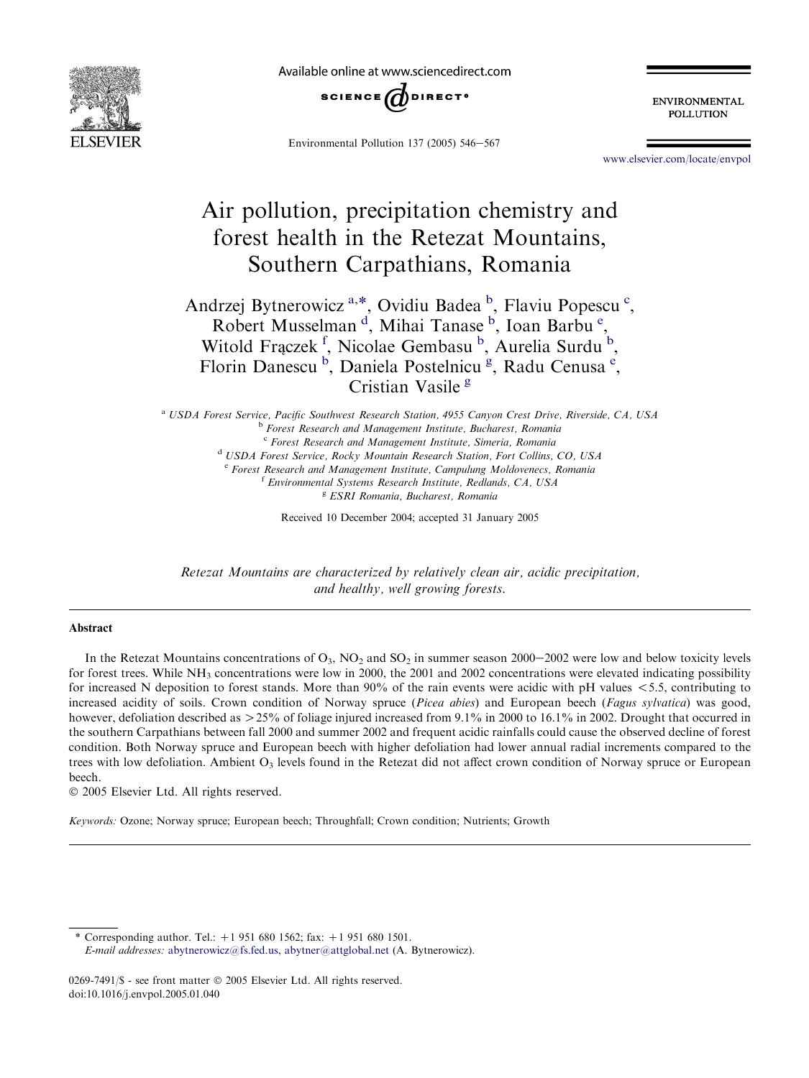

Available online at www.sciencedirect.com



Environmental Pollution 137 (2005)  $546 - 567$ 

**ENVIRONMENTAL POLLUTION** 

[www.elsevier.com/locate/envpol](http://www.elsevier.com/locate/envpol)

# Air pollution, precipitation chemistry and forest health in the Retezat Mountains, Southern Carpathians, Romania

Andrzej Bytnerowicz<sup>a,\*</sup>, Ovidiu Badea<sup>b</sup>, Flaviu Popescu<sup>c</sup>, Robert Musselman<sup>d</sup>, Mihai Tanase <sup>b</sup>, Ioan Barbu<sup>e</sup>, Witold Fraczek<sup>f</sup>, Nicolae Gembasu<sup>b</sup>, Aurelia Surdu<sup>b</sup>, Florin Danescu<sup>b</sup>, Daniela Postelnicu<sup>g</sup>, Radu Cenusa<sup>e</sup>, Cristian Vasile<sup>g</sup>

<sup>a</sup> USDA Forest Service, Pacific Southwest Research Station, 4955 Canyon Crest Drive, Riverside, CA, USA **b** Forest Research and Management Institute, Bucharest, Romania <sup>c</sup> Forest Research and Management Institute, Simeria, Romania <sup>d</sup> USDA Forest Service, Rocky Mountain Research Station, Fort Collins, CO, USA <sup>e</sup> Forest Research and Management Institute, Campulung Moldovenecs, Romania <sup>f</sup> Environmental Systems Research Institute, Redlands, CA, USA <sup>g</sup> ESRI Romania, Bucharest, Romania

Received 10 December 2004; accepted 31 January 2005

Retezat Mountains are characterized by relatively clean air, acidic precipitation, and healthy, well growing forests.

#### Abstract

In the Retezat Mountains concentrations of  $O_3$ , NO<sub>2</sub> and SO<sub>2</sub> in summer season 2000–2002 were low and below toxicity levels for forest trees. While  $NH_3$  concentrations were low in 2000, the 2001 and 2002 concentrations were elevated indicating possibility for increased N deposition to forest stands. More than  $90\%$  of the rain events were acidic with pH values  $\lt$  5.5, contributing to increased acidity of soils. Crown condition of Norway spruce (Picea abies) and European beech (Fagus sylvatica) was good, however, defoliation described as  $>$ 25% of foliage injured increased from 9.1% in 2000 to 16.1% in 2002. Drought that occurred in the southern Carpathians between fall 2000 and summer 2002 and frequent acidic rainfalls could cause the observed decline of forest condition. Both Norway spruce and European beech with higher defoliation had lower annual radial increments compared to the trees with low defoliation. Ambient  $O_3$  levels found in the Retezat did not affect crown condition of Norway spruce or European beech.

2005 Elsevier Ltd. All rights reserved.

Keywords: Ozone; Norway spruce; European beech; Throughfall; Crown condition; Nutrients; Growth

\* Corresponding author. Tel.:  $+1$  951 680 1562; fax:  $+1$  951 680 1501. E-mail addresses: [abytnerowicz@fs.fed.us,](mailto:abytnerowicz@fs.fed.us) [abytner@attglobal.net](mailto:abytner@attglobal.net) (A. Bytnerowicz).

<sup>0269-7491/\$ -</sup> see front matter © 2005 Elsevier Ltd. All rights reserved. doi:10.1016/j.envpol.2005.01.040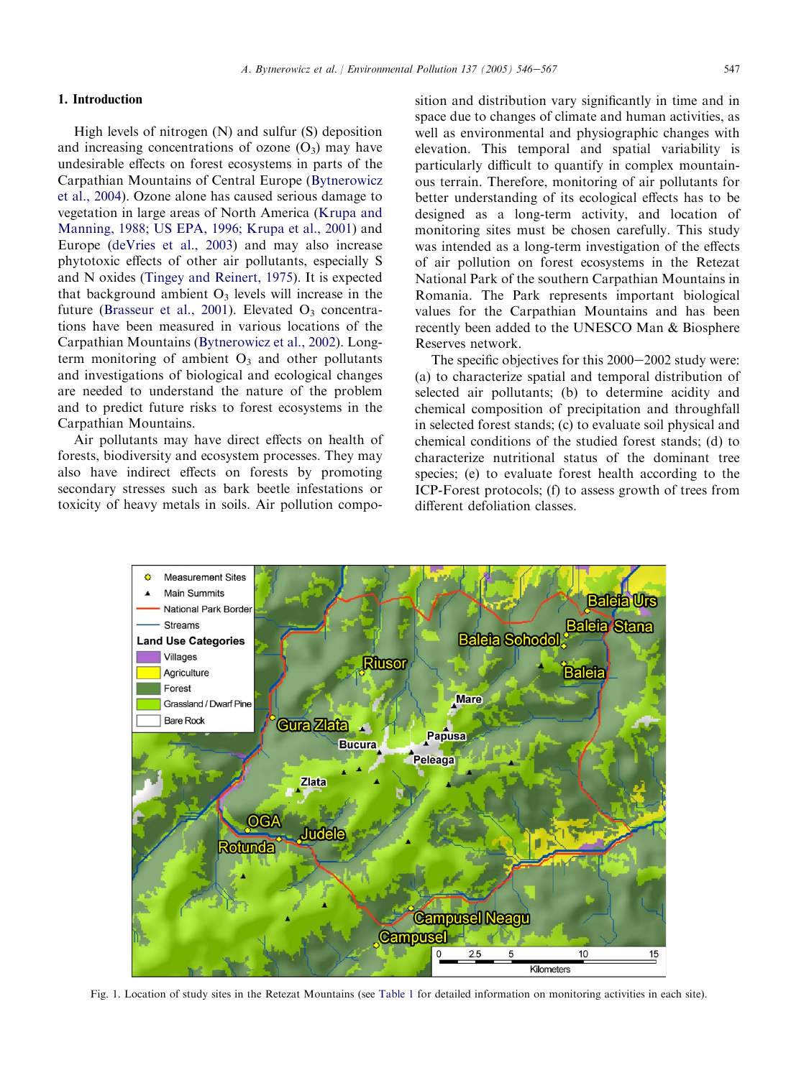### <span id="page-1-0"></span>1. Introduction

High levels of nitrogen  $(N)$  and sulfur  $(S)$  deposition and increasing concentrations of ozone  $(O_3)$  may have undesirable effects on forest ecosystems in parts of the Carpathian Mountains of Central Europe ([Bytnerowicz](#page-21-0) [et al., 2004](#page-21-0)). Ozone alone has caused serious damage to vegetation in large areas of North America [\(Krupa and](#page-21-0) [Manning, 1988; US EPA, 1996; Krupa et al., 2001](#page-21-0)) and Europe ([deVries et al., 2003](#page-21-0)) and may also increase phytotoxic effects of other air pollutants, especially S and N oxides [\(Tingey and Reinert, 1975\)](#page-21-0). It is expected that background ambient  $O_3$  levels will increase in the future [\(Brasseur et al., 2001](#page-21-0)). Elevated  $O_3$  concentrations have been measured in various locations of the Carpathian Mountains [\(Bytnerowicz et al., 2002](#page-21-0)). Longterm monitoring of ambient  $O_3$  and other pollutants and investigations of biological and ecological changes are needed to understand the nature of the problem and to predict future risks to forest ecosystems in the Carpathian Mountains.

Air pollutants may have direct effects on health of forests, biodiversity and ecosystem processes. They may also have indirect effects on forests by promoting secondary stresses such as bark beetle infestations or toxicity of heavy metals in soils. Air pollution composition and distribution vary significantly in time and in space due to changes of climate and human activities, as well as environmental and physiographic changes with elevation. This temporal and spatial variability is particularly difficult to quantify in complex mountainous terrain. Therefore, monitoring of air pollutants for better understanding of its ecological effects has to be designed as a long-term activity, and location of monitoring sites must be chosen carefully. This study was intended as a long-term investigation of the effects of air pollution on forest ecosystems in the Retezat National Park of the southern Carpathian Mountains in Romania. The Park represents important biological values for the Carpathian Mountains and has been recently been added to the UNESCO Man & Biosphere Reserves network.

The specific objectives for this  $2000-2002$  study were: (a) to characterize spatial and temporal distribution of selected air pollutants; (b) to determine acidity and chemical composition of precipitation and throughfall in selected forest stands; (c) to evaluate soil physical and chemical conditions of the studied forest stands; (d) to characterize nutritional status of the dominant tree species; (e) to evaluate forest health according to the ICP-Forest protocols; (f) to assess growth of trees from different defoliation classes.



Fig. 1. Location of study sites in the Retezat Mountains (see [Table 1](#page-2-0) for detailed information on monitoring activities in each site).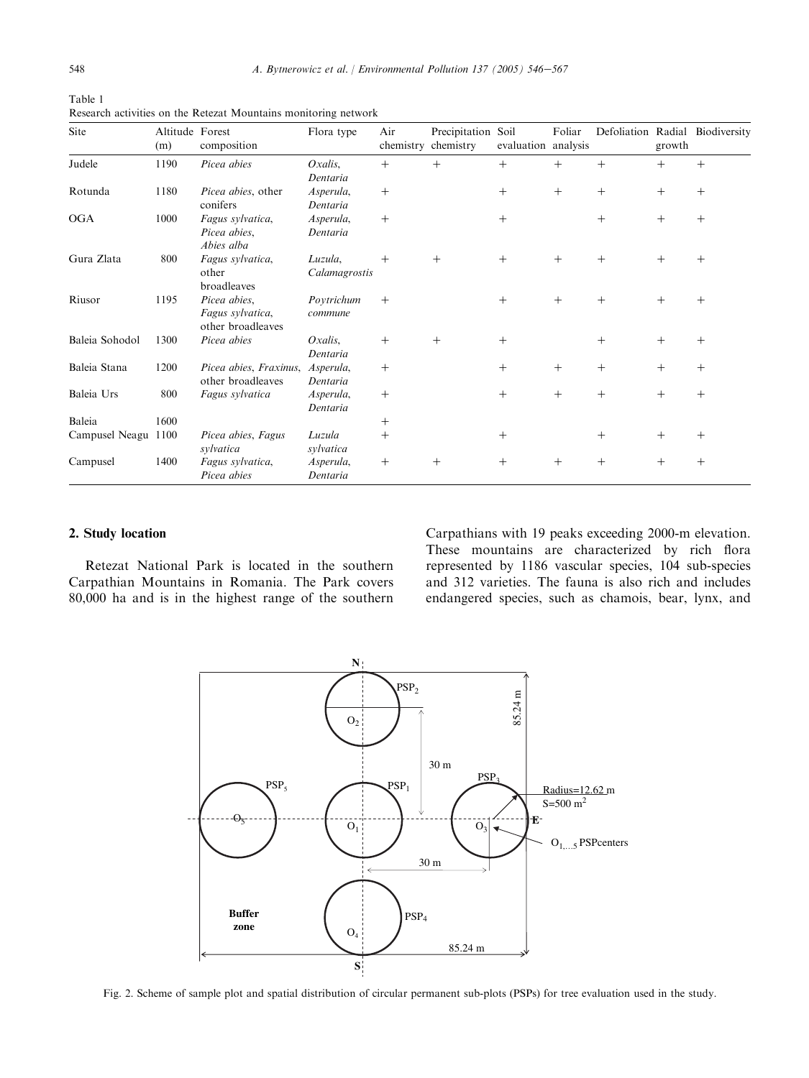<span id="page-2-0"></span>

| Table 1                                                         |
|-----------------------------------------------------------------|
| Research activities on the Retezat Mountains monitoring network |

| Site           | Altitude Forest<br>(m) | composition                                           | Flora type               | Air<br>chemistry | Precipitation<br>chemistry | Soil<br>evaluation | Foliar<br>analysis | Defoliation Radial | growth | Biodiversity |
|----------------|------------------------|-------------------------------------------------------|--------------------------|------------------|----------------------------|--------------------|--------------------|--------------------|--------|--------------|
| Judele         | 1190                   | Picea abies                                           | $Oxalis$ .<br>Dentaria   | $^{+}$           | $+$                        | $^{+}$             | $^{+}$             | $^{+}$             | $+$    | $+$          |
| Rotunda        | 1180                   | Picea abies, other<br>conifers                        | Asperula,<br>Dentaria    | $^{+}$           |                            | $+$                | $^{+}$             | $^{+}$             | $+$    | $^{+}$       |
| <b>OGA</b>     | 1000                   | Fagus sylvatica,<br>Picea abies,<br>Abies alba        | Asperula,<br>Dentaria    | $^{+}$           |                            | $+$                |                    | $^{+}$             | $+$    | $^{+}$       |
| Gura Zlata     | 800                    | Fagus sylvatica,<br>other<br>broadleaves              | Luzula,<br>Calamagrostis | $+$              | $+$                        | $+$                | $^{+}$             | $^{+}$             | $+$    | $^{+}$       |
| Riusor         | 1195                   | Picea abies,<br>Fagus sylvatica,<br>other broadleaves | Poytrichum<br>commune    | $^{+}$           |                            | $^{+}$             | $^{+}$             | $^{+}$             | $+$    | $+$          |
| Baleia Sohodol | 1300                   | Picea abies                                           | $Oxalis$ .<br>Dentaria   | $^{+}$           | $+$                        | $+$                |                    | $^{+}$             | $+$    | $^{+}$       |
| Baleia Stana   | 1200                   | Picea abies, Fraxinus,<br>other broadleaves           | Asperula,<br>Dentaria    | $^{+}$           |                            | $^{+}$             | $^{+}$             | $^{+}$             | $+$    | $^{+}$       |
| Baleia Urs     | 800                    | Fagus sylvatica                                       | Asperula,<br>Dentaria    | $^{+}$           |                            | $+$                | $^{+}$             | $^{+}$             | $+$    | $^{+}$       |
| Baleia         | 1600                   |                                                       |                          | $^+$             |                            |                    |                    |                    |        |              |
| Campusel Neagu | 1100                   | Picea abies, Fagus<br>sylvatica                       | Luzula<br>sylvatica      | $^{+}$           |                            | $^{+}$             |                    | $^{+}$             | $+$    | $+$          |
| Campusel       | 1400                   | Fagus sylvatica,<br>Picea abies                       | Asperula,<br>Dentaria    | $^+$             | $+$                        | $^{+}$             | $^{+}$             | $^{+}$             | $^{+}$ | $^{+}$       |

### 2. Study location

Retezat National Park is located in the southern Carpathian Mountains in Romania. The Park covers 80,000 ha and is in the highest range of the southern Carpathians with 19 peaks exceeding 2000-m elevation. These mountains are characterized by rich flora represented by 1186 vascular species, 104 sub-species and 312 varieties. The fauna is also rich and includes endangered species, such as chamois, bear, lynx, and



Fig. 2. Scheme of sample plot and spatial distribution of circular permanent sub-plots (PSPs) for tree evaluation used in the study.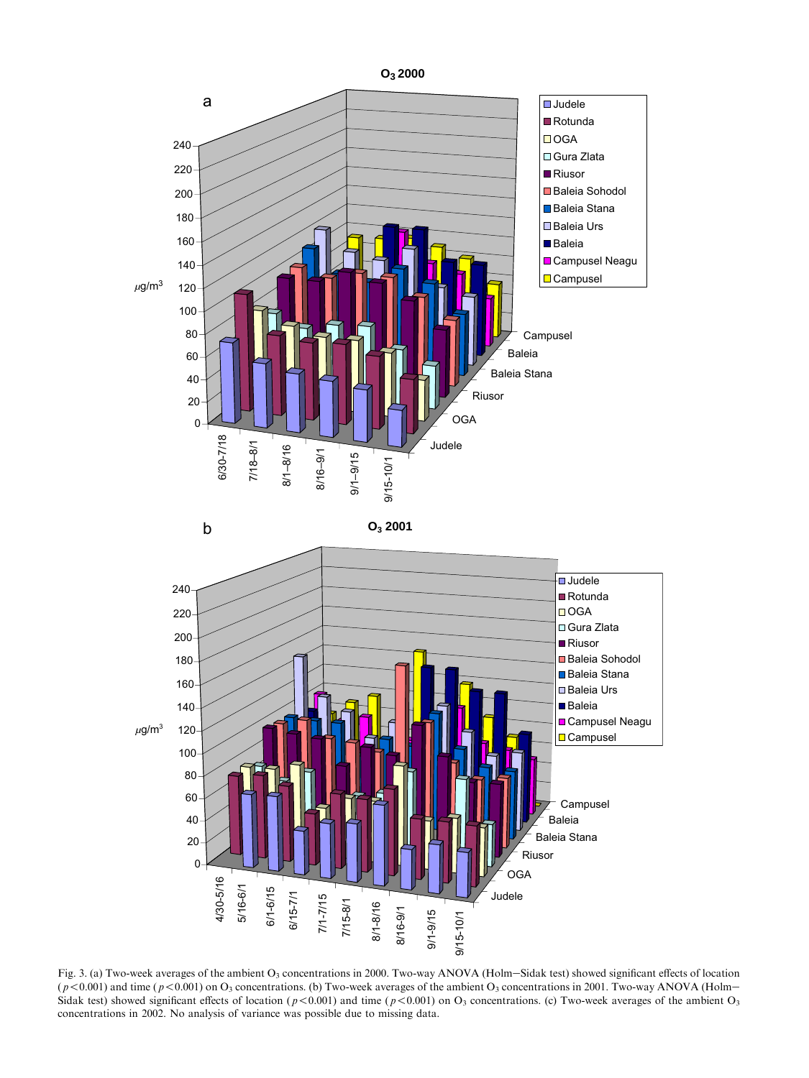<span id="page-3-0"></span>

Fig. 3. (a) Two-week averages of the ambient  $O_3$  concentrations in 2000. Two-way ANOVA (Holm–Sidak test) showed significant effects of location  $(p<0.001)$  and time ( $p<0.001$ ) on O<sub>3</sub> concentrations. (b) Two-week averages of the ambient O<sub>3</sub> concentrations in 2001. Two-way ANOVA (Holm-Sidak test) showed significant effects of location ( $p < 0.001$ ) and time ( $p < 0.001$ ) on O<sub>3</sub> concentrations. (c) Two-week averages of the ambient O<sub>3</sub> concentrations in 2002. No analysis of variance was possible due to missing data.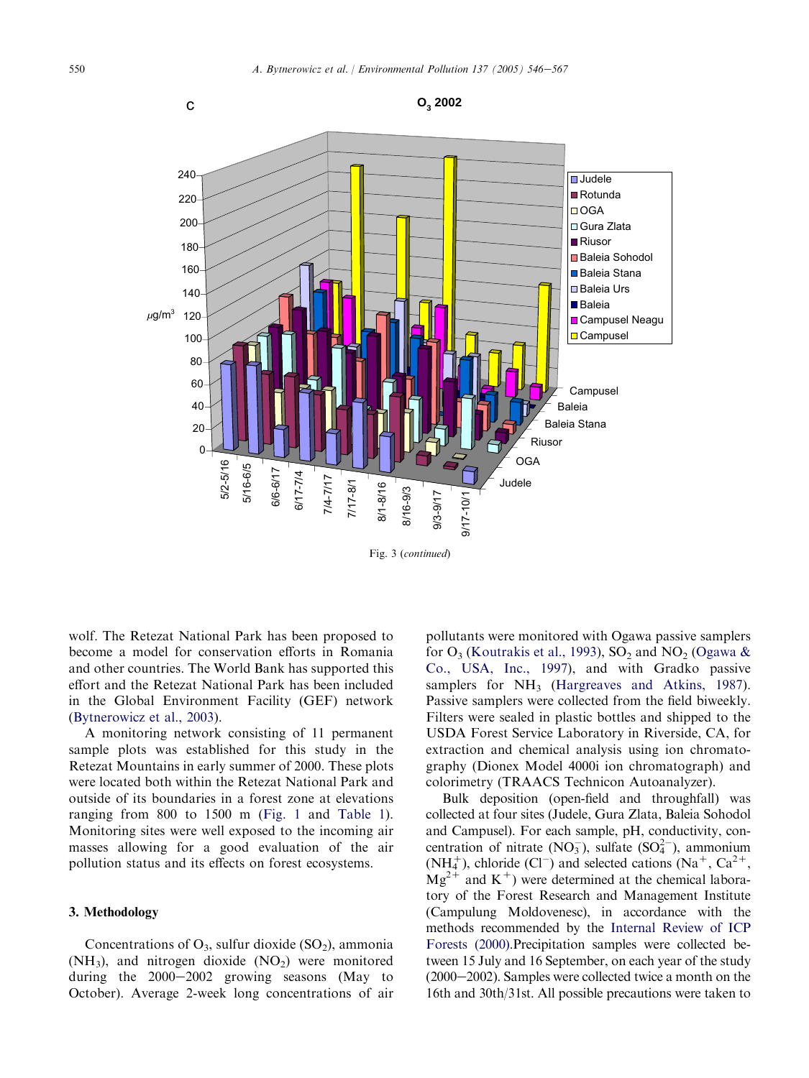

wolf. The Retezat National Park has been proposed to become a model for conservation efforts in Romania and other countries. The World Bank has supported this effort and the Retezat National Park has been included in the Global Environment Facility (GEF) network ([Bytnerowicz et al., 2003](#page-21-0)).

A monitoring network consisting of 11 permanent sample plots was established for this study in the Retezat Mountains in early summer of 2000. These plots were located both within the Retezat National Park and outside of its boundaries in a forest zone at elevations ranging from 800 to 1500 m ([Fig. 1](#page-1-0) and [Table 1\)](#page-2-0). Monitoring sites were well exposed to the incoming air masses allowing for a good evaluation of the air pollution status and its effects on forest ecosystems.

#### 3. Methodology

Concentrations of  $O_3$ , sulfur dioxide (SO<sub>2</sub>), ammonia  $(NH_3)$ , and nitrogen dioxide  $(NO_2)$  were monitored during the  $2000-2002$  growing seasons (May to October). Average 2-week long concentrations of air pollutants were monitored with Ogawa passive samplers for  $O_3$  ([Koutrakis et al., 1993](#page-21-0)), SO<sub>2</sub> and NO<sub>2</sub> [\(Ogawa &](#page-21-0) [Co., USA, Inc., 1997\)](#page-21-0), and with Gradko passive samplers for  $NH_3$  [\(Hargreaves and Atkins, 1987\)](#page-21-0). Passive samplers were collected from the field biweekly. Filters were sealed in plastic bottles and shipped to the USDA Forest Service Laboratory in Riverside, CA, for extraction and chemical analysis using ion chromatography (Dionex Model 4000i ion chromatograph) and colorimetry (TRAACS Technicon Autoanalyzer).

Bulk deposition (open-field and throughfall) was collected at four sites (Judele, Gura Zlata, Baleia Sohodol and Campusel). For each sample, pH, conductivity, concentration of nitrate  $(NO_3^-)$ , sulfate  $(SO_4^{2-})$ , ammonium  $(NH_4^+)$ , chloride  $(Cl^-)$  and selected cations  $(Na^+, Ca^{2+},$  $Mg^{2+}$  and K<sup>+</sup>) were determined at the chemical laboratory of the Forest Research and Management Institute (Campulung Moldovenesc), in accordance with the methods recommended by the [Internal Review of ICP](#page-21-0) [Forests \(2000\)](#page-21-0).Precipitation samples were collected between 15 July and 16 September, on each year of the study  $(2000-2002)$ . Samples were collected twice a month on the 16th and 30th/31st. All possible precautions were taken to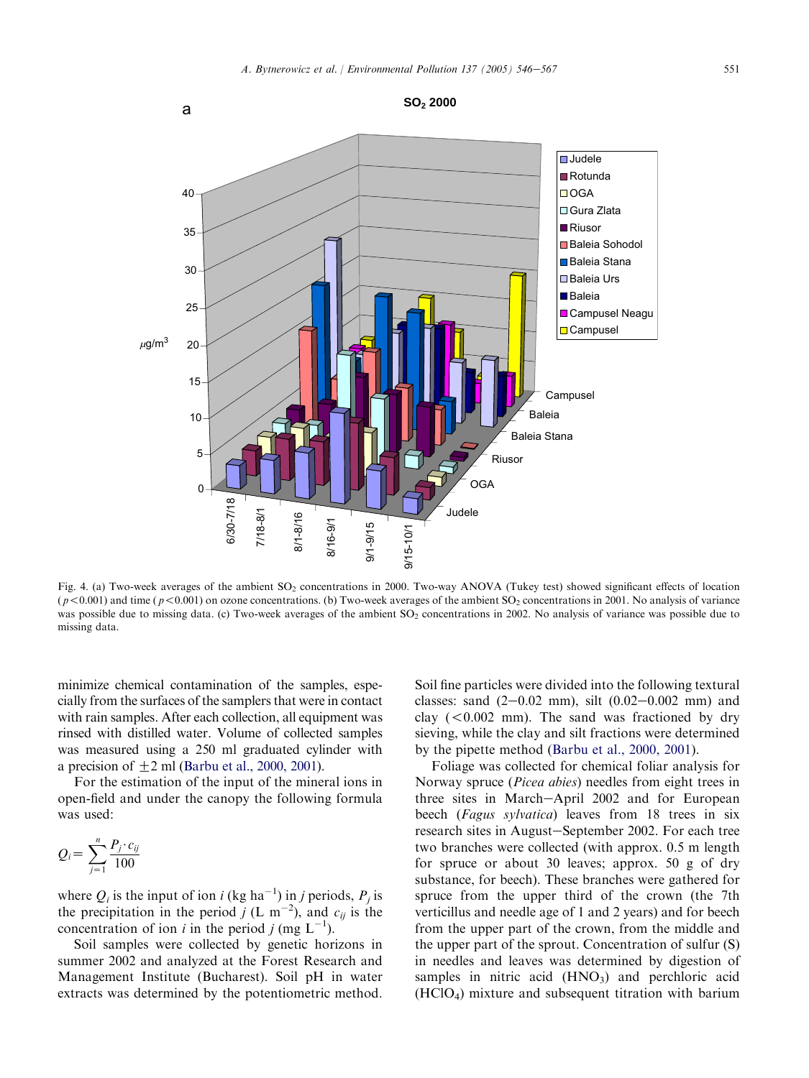<span id="page-5-0"></span>

Fig. 4. (a) Two-week averages of the ambient SO<sub>2</sub> concentrations in 2000. Two-way ANOVA (Tukey test) showed significant effects of location  $(p<0.001)$  and time ( $p<0.001$ ) on ozone concentrations. (b) Two-week averages of the ambient SO<sub>2</sub> concentrations in 2001. No analysis of variance was possible due to missing data. (c) Two-week averages of the ambient  $SO_2$  concentrations in 2002. No analysis of variance was possible due to missing data.

minimize chemical contamination of the samples, especially from the surfaces of the samplers that were in contact with rain samples. After each collection, all equipment was rinsed with distilled water. Volume of collected samples was measured using a 250 ml graduated cylinder with a precision of  $+2$  ml [\(Barbu et al., 2000, 2001](#page-20-0)).

For the estimation of the input of the mineral ions in open-field and under the canopy the following formula was used:

$$
Q_i = \sum_{j=1}^n \frac{P_j \cdot c_{ij}}{100}
$$

where  $Q_i$  is the input of ion i (kg ha<sup>-1</sup>) in j periods,  $P_j$  is the precipitation in the period j (L m<sup>-2</sup>), and  $c_{ij}$  is the concentration of ion *i* in the period *j* (mg  $L^{-1}$ ).

Soil samples were collected by genetic horizons in summer 2002 and analyzed at the Forest Research and Management Institute (Bucharest). Soil pH in water extracts was determined by the potentiometric method.

Soil fine particles were divided into the following textural classes: sand  $(2-0.02 \text{ mm})$ , silt  $(0.02-0.002 \text{ mm})$  and clay  $( $0.002 \text{ mm}$ ). The sand was fractional by dry$ sieving, while the clay and silt fractions were determined by the pipette method [\(Barbu et al., 2000, 2001\)](#page-20-0).

Foliage was collected for chemical foliar analysis for Norway spruce (Picea abies) needles from eight trees in three sites in March-April 2002 and for European beech (Fagus sylvatica) leaves from 18 trees in six research sites in August-September 2002. For each tree two branches were collected (with approx. 0.5 m length for spruce or about 30 leaves; approx. 50 g of dry substance, for beech). These branches were gathered for spruce from the upper third of the crown (the 7th verticillus and needle age of 1 and 2 years) and for beech from the upper part of the crown, from the middle and the upper part of the sprout. Concentration of sulfur (S) in needles and leaves was determined by digestion of samples in nitric acid  $(HNO_3)$  and perchloric acid (HClO4) mixture and subsequent titration with barium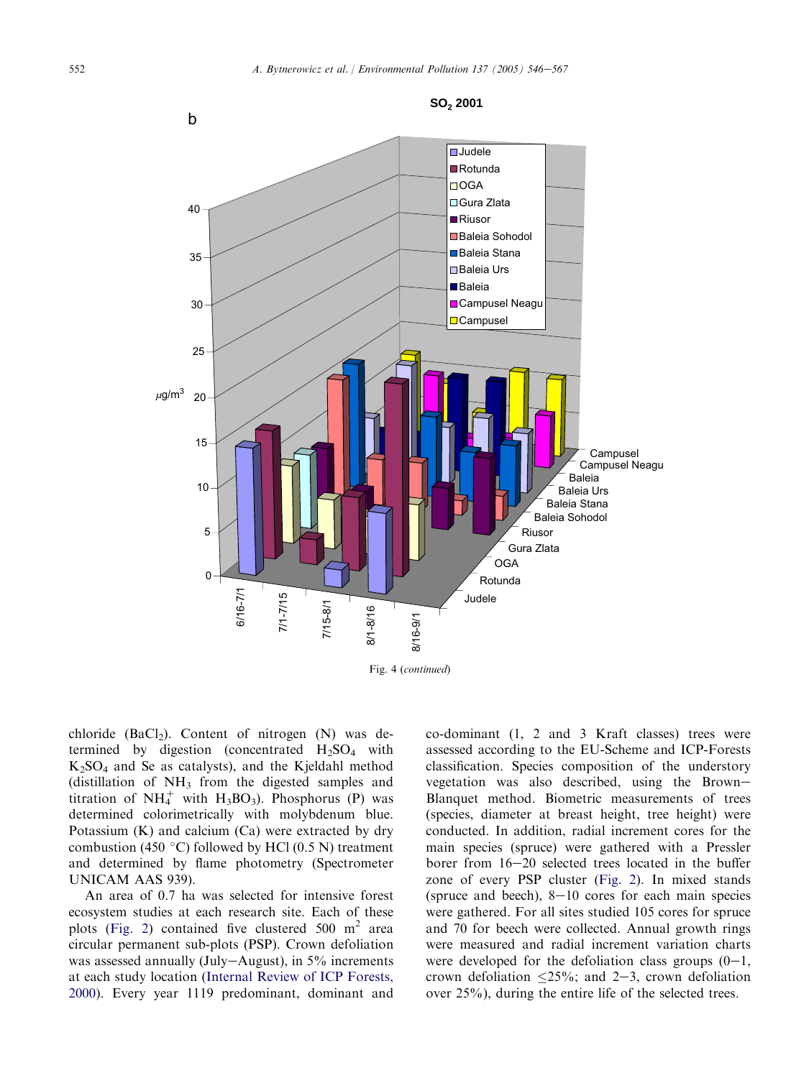

chloride (BaCl<sub>2</sub>). Content of nitrogen  $(N)$  was determined by digestion (concentrated  $H_2SO_4$  with  $K<sub>2</sub>SO<sub>4</sub>$  and Se as catalysts), and the Kjeldahl method (distillation of  $NH_3$  from the digested samples and titration of  $NH_4^+$  with  $H_3BO_3$ ). Phosphorus (P) was determined colorimetrically with molybdenum blue. Potassium (K) and calcium (Ca) were extracted by dry combustion (450 $\degree$ C) followed by HCl (0.5 N) treatment and determined by flame photometry (Spectrometer UNICAM AAS 939).

An area of 0.7 ha was selected for intensive forest ecosystem studies at each research site. Each of these plots [\(Fig. 2](#page-2-0)) contained five clustered  $500 \text{ m}^2$  area circular permanent sub-plots (PSP). Crown defoliation was assessed annually (July-August), in  $5\%$  increments at each study location ([Internal Review of ICP Forests,](#page-21-0) [2000\)](#page-21-0). Every year 1119 predominant, dominant and co-dominant (1, 2 and 3 Kraft classes) trees were assessed according to the EU-Scheme and ICP-Forests classification. Species composition of the understory vegetation was also described, using the Brown-Blanquet method. Biometric measurements of trees (species, diameter at breast height, tree height) were conducted. In addition, radial increment cores for the main species (spruce) were gathered with a Pressler borer from  $16-20$  selected trees located in the buffer zone of every PSP cluster ([Fig. 2](#page-2-0)). In mixed stands (spruce and beech),  $8-10$  cores for each main species were gathered. For all sites studied 105 cores for spruce and 70 for beech were collected. Annual growth rings were measured and radial increment variation charts were developed for the defoliation class groups  $(0-1, 1)$ crown defoliation  $\langle 25\% \rangle$ ; and  $2-3$ , crown defoliation over 25%), during the entire life of the selected trees.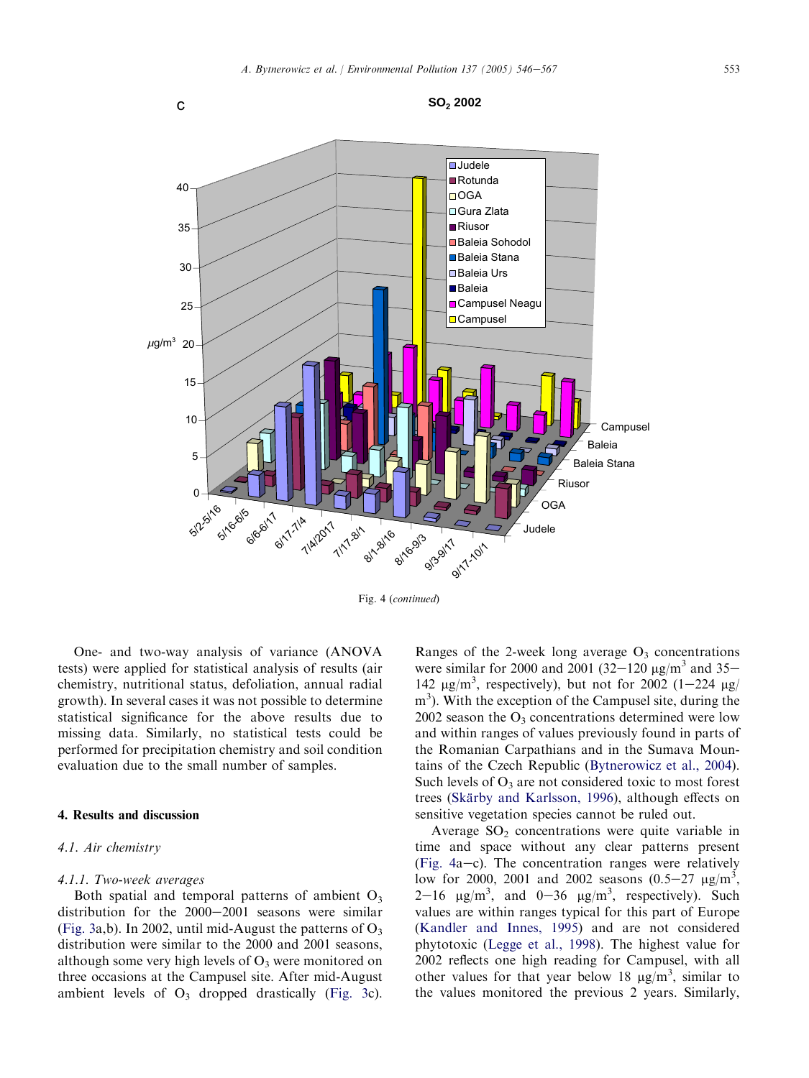

Fig. 4 (continued)

One- and two-way analysis of variance (ANOVA tests) were applied for statistical analysis of results (air chemistry, nutritional status, defoliation, annual radial growth). In several cases it was not possible to determine statistical significance for the above results due to missing data. Similarly, no statistical tests could be performed for precipitation chemistry and soil condition evaluation due to the small number of samples.

#### 4. Results and discussion

# 4.1. Air chemistry

#### 4.1.1. Two-week averages

Both spatial and temporal patterns of ambient  $O_3$ distribution for the  $2000-2001$  seasons were similar ([Fig. 3a](#page-3-0),b). In 2002, until mid-August the patterns of  $O_3$ distribution were similar to the 2000 and 2001 seasons, although some very high levels of  $O_3$  were monitored on three occasions at the Campusel site. After mid-August ambient levels of  $O_3$  dropped drastically ([Fig. 3](#page-3-0)c). Ranges of the 2-week long average  $O_3$  concentrations were similar for 2000 and 2001 (32–120  $\mu$ g/m<sup>3</sup> and 35– 142  $\mu$ g/m<sup>3</sup>, respectively), but not for 2002 (1-224  $\mu$ g/ m<sup>3</sup>). With the exception of the Campusel site, during the 2002 season the  $O_3$  concentrations determined were low and within ranges of values previously found in parts of the Romanian Carpathians and in the Sumava Mountains of the Czech Republic ([Bytnerowicz et al., 2004\)](#page-21-0). Such levels of  $O_3$  are not considered toxic to most forest trees (Skärby and Karlsson, 1996), although effects on sensitive vegetation species cannot be ruled out.

Average  $SO_2$  concentrations were quite variable in time and space without any clear patterns present (Fig.  $4a-c$ ). The concentration ranges were relatively low for 2000, 2001 and 2002 seasons  $(0.5-27 \text{ µg/m}^3)$ 2–16  $\mu$ g/m<sup>3</sup>, and 0–36  $\mu$ g/m<sup>3</sup>, respectively). Such values are within ranges typical for this part of Europe ([Kandler and Innes, 1995\)](#page-21-0) and are not considered phytotoxic [\(Legge et al., 1998\)](#page-21-0). The highest value for 2002 reflects one high reading for Campusel, with all other values for that year below 18  $\mu$ g/m<sup>3</sup>, similar to the values monitored the previous 2 years. Similarly,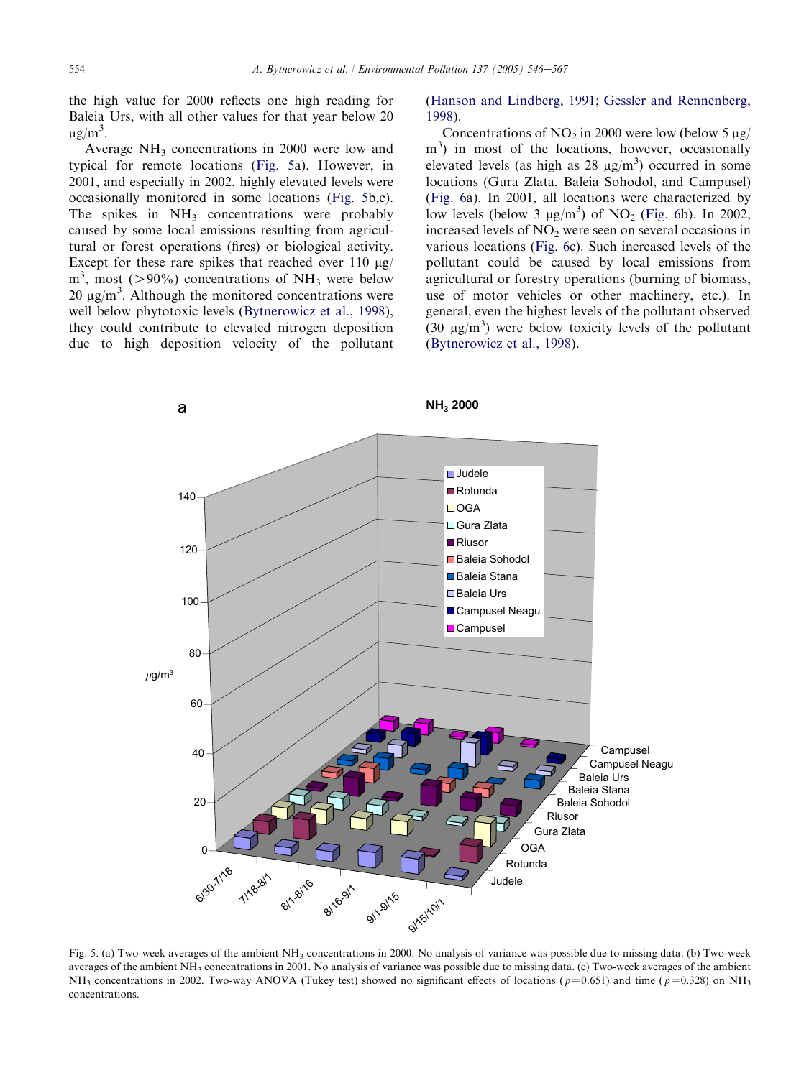the high value for 2000 reflects one high reading for Baleia Urs, with all other values for that year below 20  $\mu$ g/m<sup>3</sup>.

Average  $NH_3$  concentrations in 2000 were low and typical for remote locations (Fig. 5a). However, in 2001, and especially in 2002, highly elevated levels were occasionally monitored in some locations (Fig. 5b,c). The spikes in  $NH<sub>3</sub>$  concentrations were probably caused by some local emissions resulting from agricultural or forest operations (fires) or biological activity. Except for these rare spikes that reached over 110  $\mu$ g/  $m<sup>3</sup>$ , most (>90%) concentrations of NH<sub>3</sub> were below  $20 \mu g/m^3$ . Although the monitored concentrations were well below phytotoxic levels [\(Bytnerowicz et al., 1998\)](#page-21-0), they could contribute to elevated nitrogen deposition due to high deposition velocity of the pollutant ([Hanson and Lindberg, 1991; Gessler and Rennenberg,](#page-21-0) [1998\)](#page-21-0).

Concentrations of NO<sub>2</sub> in 2000 were low (below 5  $\mu$ g/ m<sup>3</sup>) in most of the locations, however, occasionally elevated levels (as high as 28  $\mu$ g/m<sup>3</sup>) occurred in some locations (Gura Zlata, Baleia Sohodol, and Campusel) ([Fig. 6](#page-11-0)a). In 2001, all locations were characterized by low levels (below 3  $\mu$ g/m<sup>3</sup>) of NO<sub>2</sub> [\(Fig. 6](#page-11-0)b). In 2002, increased levels of  $NO<sub>2</sub>$  were seen on several occasions in various locations ([Fig. 6](#page-11-0)c). Such increased levels of the pollutant could be caused by local emissions from agricultural or forestry operations (burning of biomass, use of motor vehicles or other machinery, etc.). In general, even the highest levels of the pollutant observed  $(30 \text{ }\mu\text{g/m}^3)$  were below toxicity levels of the pollutant ([Bytnerowicz et al., 1998\)](#page-21-0).



Fig. 5. (a) Two-week averages of the ambient  $NH<sub>3</sub>$  concentrations in 2000. No analysis of variance was possible due to missing data. (b) Two-week averages of the ambient  $NH_3$  concentrations in 2001. No analysis of variance was possible due to missing data. (c) Two-week averages of the ambient NH<sub>3</sub> concentrations in 2002. Two-way ANOVA (Tukey test) showed no significant effects of locations ( $p=0.651$ ) and time ( $p=0.328$ ) on NH<sub>3</sub> concentrations.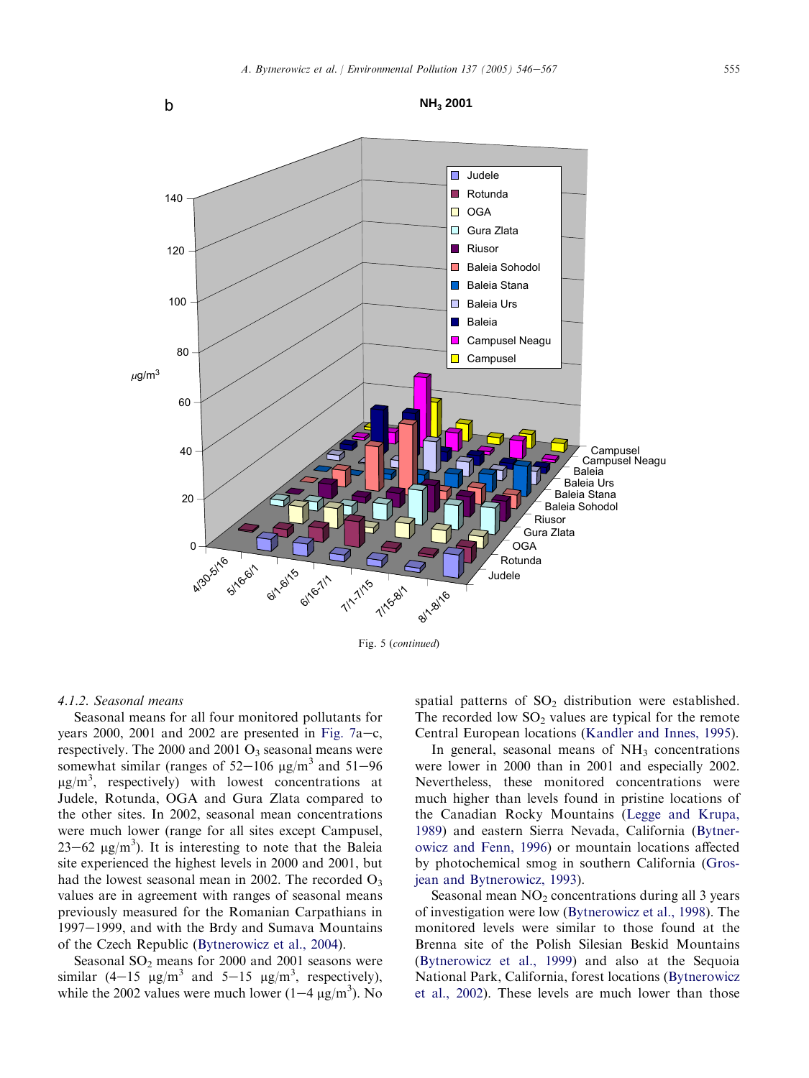

Fig. 5 (continued)

#### 4.1.2. Seasonal means

Seasonal means for all four monitored pollutants for years 2000, 2001 and 2002 are presented in [Fig. 7](#page-14-0)a–c, respectively. The 2000 and 2001  $O_3$  seasonal means were somewhat similar (ranges of  $52-106 \text{ µg/m}^3$  and  $51-96$  $\mu$ g/m<sup>3</sup>, respectively) with lowest concentrations at Judele, Rotunda, OGA and Gura Zlata compared to the other sites. In 2002, seasonal mean concentrations were much lower (range for all sites except Campusel,  $23-62 \text{ µg/m}^3$ ). It is interesting to note that the Baleia site experienced the highest levels in 2000 and 2001, but had the lowest seasonal mean in 2002. The recorded  $O_3$ values are in agreement with ranges of seasonal means previously measured for the Romanian Carpathians in 1997-1999, and with the Brdy and Sumava Mountains of the Czech Republic [\(Bytnerowicz et al., 2004\)](#page-21-0).

Seasonal  $SO<sub>2</sub>$  means for 2000 and 2001 seasons were similar  $(4-15 \text{ }\mu\text{g/m}^3 \text{ and } 5-15 \text{ }\mu\text{g/m}^3 \text{, respectively)}$ , while the 2002 values were much lower  $(1-4 \mu g/m^3)$ . No spatial patterns of  $SO_2$  distribution were established. The recorded low  $SO_2$  values are typical for the remote Central European locations [\(Kandler and Innes, 1995\)](#page-21-0).

In general, seasonal means of  $NH<sub>3</sub>$  concentrations were lower in 2000 than in 2001 and especially 2002. Nevertheless, these monitored concentrations were much higher than levels found in pristine locations of the Canadian Rocky Mountains [\(Legge and Krupa,](#page-21-0) [1989](#page-21-0)) and eastern Sierra Nevada, California ([Bytner](#page-21-0)[owicz and Fenn, 1996\)](#page-21-0) or mountain locations affected by photochemical smog in southern California ([Gros](#page-21-0)[jean and Bytnerowicz, 1993\)](#page-21-0).

Seasonal mean  $NO<sub>2</sub>$  concentrations during all 3 years of investigation were low ([Bytnerowicz et al., 1998](#page-21-0)). The monitored levels were similar to those found at the Brenna site of the Polish Silesian Beskid Mountains ([Bytnerowicz et al., 1999](#page-21-0)) and also at the Sequoia National Park, California, forest locations ([Bytnerowicz](#page-21-0) [et al., 2002\)](#page-21-0). These levels are much lower than those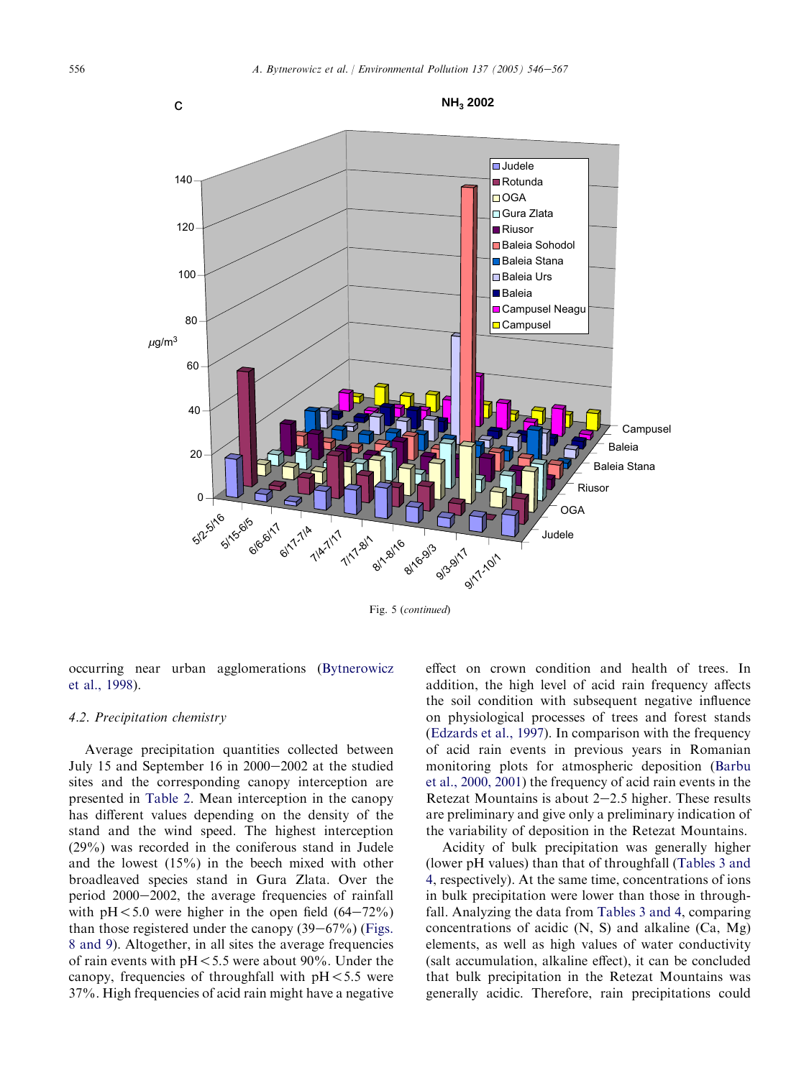

Fig. 5 (continued)

occurring near urban agglomerations ([Bytnerowicz](#page-21-0) [et al., 1998](#page-21-0)).

#### 4.2. Precipitation chemistry

Average precipitation quantities collected between July 15 and September 16 in  $2000-2002$  at the studied sites and the corresponding canopy interception are presented in [Table 2](#page-15-0). Mean interception in the canopy has different values depending on the density of the stand and the wind speed. The highest interception (29%) was recorded in the coniferous stand in Judele and the lowest (15%) in the beech mixed with other broadleaved species stand in Gura Zlata. Over the period  $2000-2002$ , the average frequencies of rainfall with  $pH < 5.0$  were higher in the open field  $(64-72%)$ than those registered under the canopy  $(39-67%)$  ([Figs.](#page-16-0) [8 and 9\)](#page-16-0). Altogether, in all sites the average frequencies of rain events with  $pH < 5.5$  were about 90%. Under the canopy, frequencies of throughfall with  $pH < 5.5$  were 37%. High frequencies of acid rain might have a negative effect on crown condition and health of trees. In addition, the high level of acid rain frequency affects the soil condition with subsequent negative influence on physiological processes of trees and forest stands ([Edzards et al., 1997](#page-21-0)). In comparison with the frequency of acid rain events in previous years in Romanian monitoring plots for atmospheric deposition [\(Barbu](#page-20-0) [et al., 2000, 2001](#page-20-0)) the frequency of acid rain events in the Retezat Mountains is about  $2-2.5$  higher. These results are preliminary and give only a preliminary indication of the variability of deposition in the Retezat Mountains.

Acidity of bulk precipitation was generally higher (lower pH values) than that of throughfall ([Tables 3 and](#page-16-0) [4,](#page-16-0) respectively). At the same time, concentrations of ions in bulk precipitation were lower than those in throughfall. Analyzing the data from [Tables 3 and 4,](#page-16-0) comparing concentrations of acidic (N, S) and alkaline (Ca, Mg) elements, as well as high values of water conductivity (salt accumulation, alkaline effect), it can be concluded that bulk precipitation in the Retezat Mountains was generally acidic. Therefore, rain precipitations could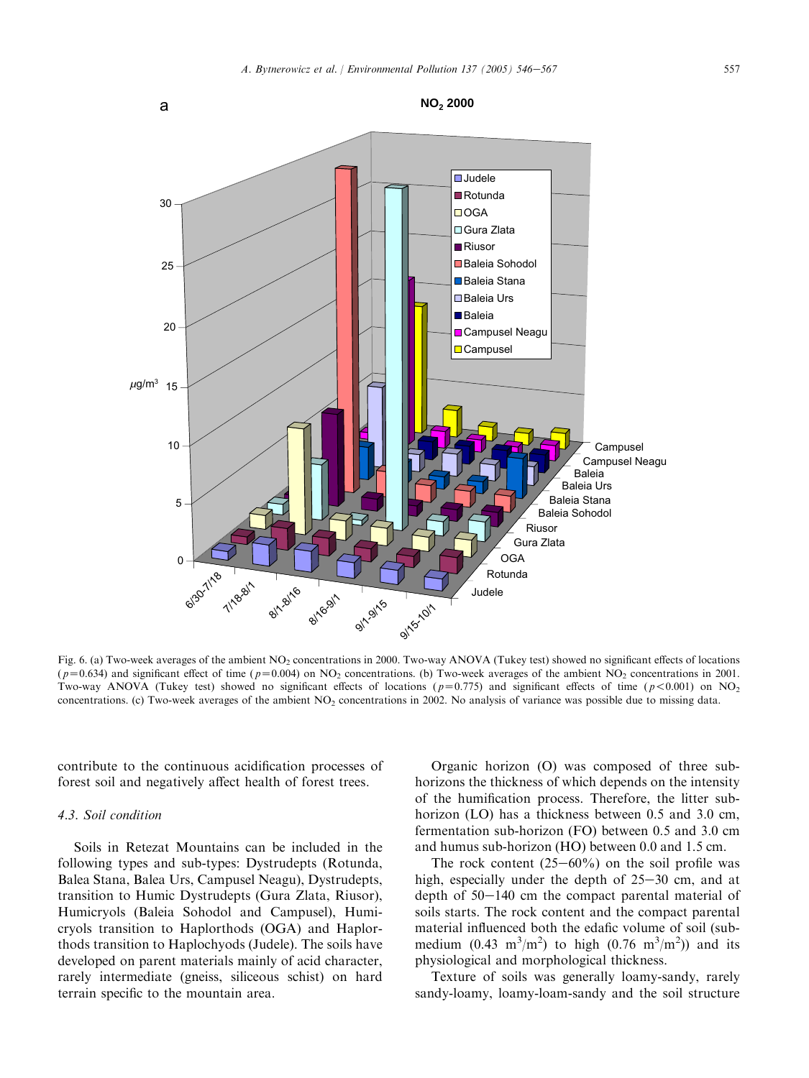<span id="page-11-0"></span>

Fig. 6. (a) Two-week averages of the ambient NO<sub>2</sub> concentrations in 2000. Two-way ANOVA (Tukey test) showed no significant effects of locations  $(p=0.634)$  and significant effect of time ( $p=0.004$ ) on NO<sub>2</sub> concentrations. (b) Two-week averages of the ambient NO<sub>2</sub> concentrations in 2001. Two-way ANOVA (Tukey test) showed no significant effects of locations ( $p=0.775$ ) and significant effects of time ( $p<0.001$ ) on NO<sub>2</sub> concentrations. (c) Two-week averages of the ambient  $NO<sub>2</sub>$  concentrations in 2002. No analysis of variance was possible due to missing data.

contribute to the continuous acidification processes of forest soil and negatively affect health of forest trees.

#### 4.3. Soil condition

Soils in Retezat Mountains can be included in the following types and sub-types: Dystrudepts (Rotunda, Balea Stana, Balea Urs, Campusel Neagu), Dystrudepts, transition to Humic Dystrudepts (Gura Zlata, Riusor), Humicryols (Baleia Sohodol and Campusel), Humicryols transition to Haplorthods (OGA) and Haplorthods transition to Haplochyods (Judele). The soils have developed on parent materials mainly of acid character, rarely intermediate (gneiss, siliceous schist) on hard terrain specific to the mountain area.

Organic horizon (O) was composed of three subhorizons the thickness of which depends on the intensity of the humification process. Therefore, the litter subhorizon (LO) has a thickness between 0.5 and 3.0 cm, fermentation sub-horizon (FO) between 0.5 and 3.0 cm and humus sub-horizon (HO) between 0.0 and 1.5 cm.

The rock content  $(25-60\%)$  on the soil profile was high, especially under the depth of  $25-30$  cm, and at depth of  $50-140$  cm the compact parental material of soils starts. The rock content and the compact parental material influenced both the edafic volume of soil (submedium  $(0.43 \text{ m}^3/\text{m}^2)$  to high  $(0.76 \text{ m}^3/\text{m}^2)$  and its physiological and morphological thickness.

Texture of soils was generally loamy-sandy, rarely sandy-loamy, loamy-loam-sandy and the soil structure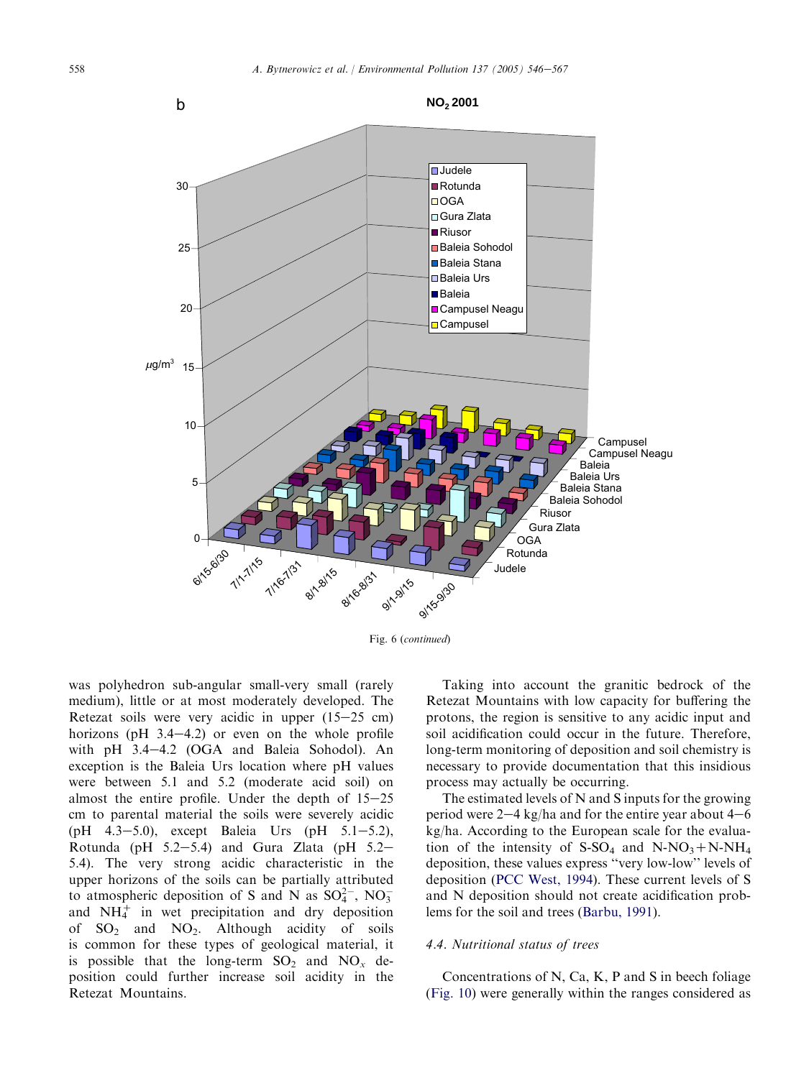

Fig. 6 (continued)

was polyhedron sub-angular small-very small (rarely medium), little or at most moderately developed. The Retezat soils were very acidic in upper  $(15-25 \text{ cm})$ horizons (pH  $3.4-4.2$ ) or even on the whole profile with pH 3.4-4.2 (OGA and Baleia Sohodol). An exception is the Baleia Urs location where pH values were between 5.1 and 5.2 (moderate acid soil) on almost the entire profile. Under the depth of  $15-25$ cm to parental material the soils were severely acidic (pH  $4.3-5.0$ ), except Baleia Urs (pH  $5.1-5.2$ ), Rotunda (pH  $5.2-5.4$ ) and Gura Zlata (pH  $5.2-$ 5.4). The very strong acidic characteristic in the upper horizons of the soils can be partially attributed to atmospheric deposition of S and N as  $SO_4^{2-}$ , NO<sub>3</sub> and  $NH_4^+$  in wet precipitation and dry deposition of  $SO_2$  and  $NO_2$ . Although acidity of soils is common for these types of geological material, it is possible that the long-term  $SO_2$  and  $NO_x$  deposition could further increase soil acidity in the Retezat Mountains.

Taking into account the granitic bedrock of the Retezat Mountains with low capacity for buffering the protons, the region is sensitive to any acidic input and soil acidification could occur in the future. Therefore, long-term monitoring of deposition and soil chemistry is necessary to provide documentation that this insidious process may actually be occurring.

The estimated levels of N and S inputs for the growing period were  $2-4$  kg/ha and for the entire year about  $4-6$ kg/ha. According to the European scale for the evaluation of the intensity of S-SO<sub>4</sub> and N-NO<sub>3</sub>+N-NH<sub>4</sub> deposition, these values express ''very low-low'' levels of deposition ([PCC West, 1994](#page-21-0)). These current levels of S and N deposition should not create acidification problems for the soil and trees ([Barbu, 1991\)](#page-20-0).

#### 4.4. Nutritional status of trees

Concentrations of N, Ca, K, P and S in beech foliage ([Fig. 10](#page-17-0)) were generally within the ranges considered as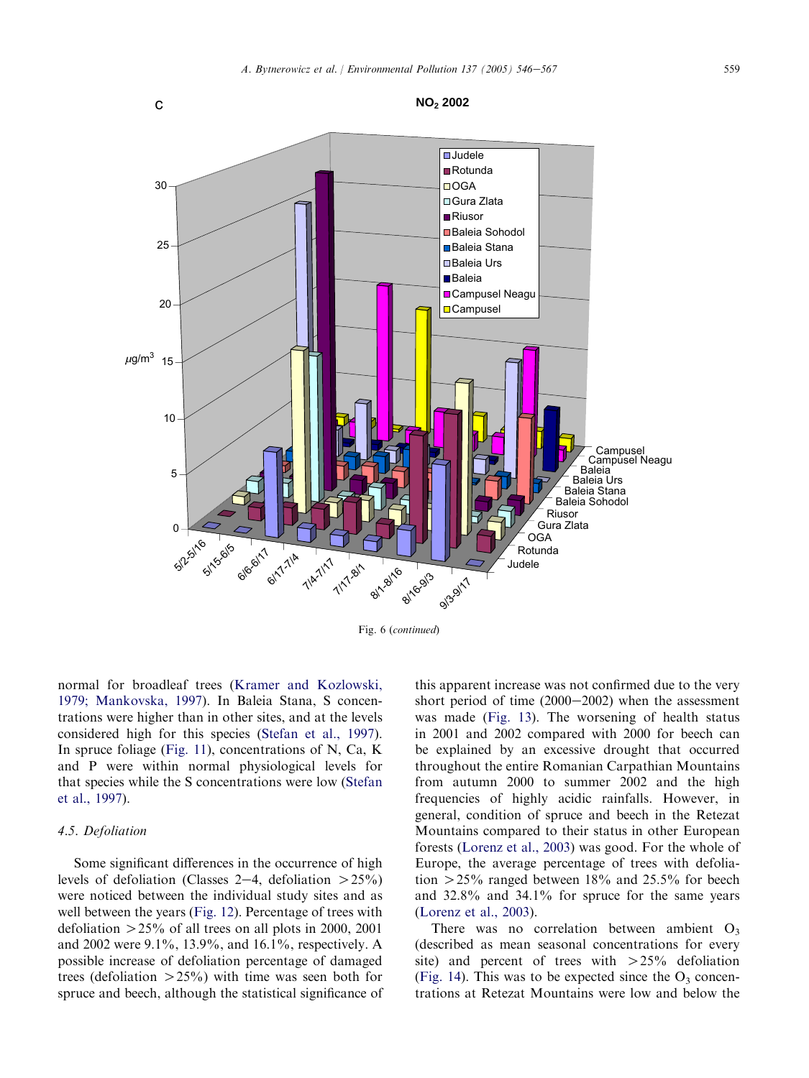

Fig. 6 (continued)

normal for broadleaf trees ([Kramer and Kozlowski,](#page-21-0) [1979; Mankovska, 1997\)](#page-21-0). In Baleia Stana, S concentrations were higher than in other sites, and at the levels considered high for this species ([Stefan et al., 1997\)](#page-21-0). In spruce foliage ([Fig. 11](#page-17-0)), concentrations of N, Ca, K and P were within normal physiological levels for that species while the S concentrations were low ([Stefan](#page-21-0) [et al., 1997\)](#page-21-0).

#### 4.5. Defoliation

Some significant differences in the occurrence of high levels of defoliation (Classes 2–4, defoliation  $>25\%$ ) were noticed between the individual study sites and as well between the years ([Fig. 12](#page-18-0)). Percentage of trees with defoliation  $>$  25% of all trees on all plots in 2000, 2001 and 2002 were 9.1%, 13.9%, and 16.1%, respectively. A possible increase of defoliation percentage of damaged trees (defoliation  $>25\%$ ) with time was seen both for spruce and beech, although the statistical significance of this apparent increase was not confirmed due to the very short period of time  $(2000-2002)$  when the assessment was made ([Fig. 13](#page-18-0)). The worsening of health status in 2001 and 2002 compared with 2000 for beech can be explained by an excessive drought that occurred throughout the entire Romanian Carpathian Mountains from autumn 2000 to summer 2002 and the high frequencies of highly acidic rainfalls. However, in general, condition of spruce and beech in the Retezat Mountains compared to their status in other European forests ([Lorenz et al., 2003\)](#page-21-0) was good. For the whole of Europe, the average percentage of trees with defoliation  $>$  25% ranged between 18% and 25.5% for beech and 32.8% and 34.1% for spruce for the same years ([Lorenz et al., 2003\)](#page-21-0).

There was no correlation between ambient  $O_3$ (described as mean seasonal concentrations for every site) and percent of trees with  $>25%$  defoliation ([Fig. 14](#page-18-0)). This was to be expected since the  $O_3$  concentrations at Retezat Mountains were low and below the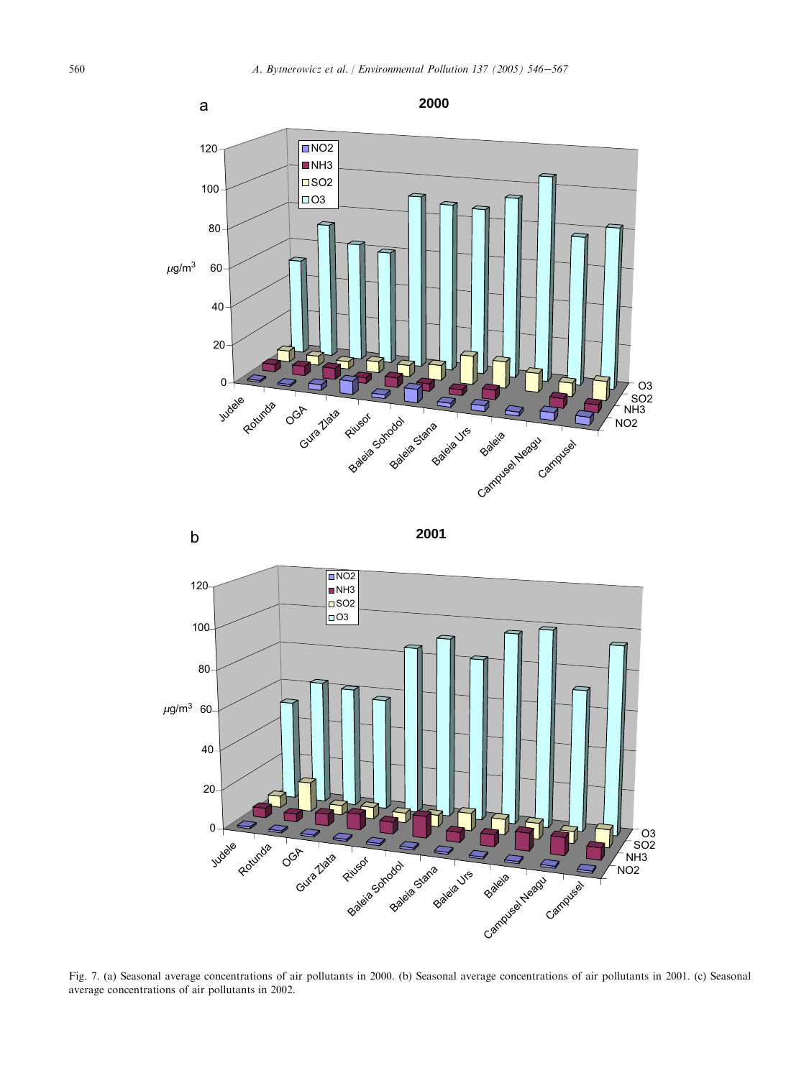<span id="page-14-0"></span>



Fig. 7. (a) Seasonal average concentrations of air pollutants in 2000. (b) Seasonal average concentrations of air pollutants in 2001. (c) Seasonal average concentrations of air pollutants in 2002.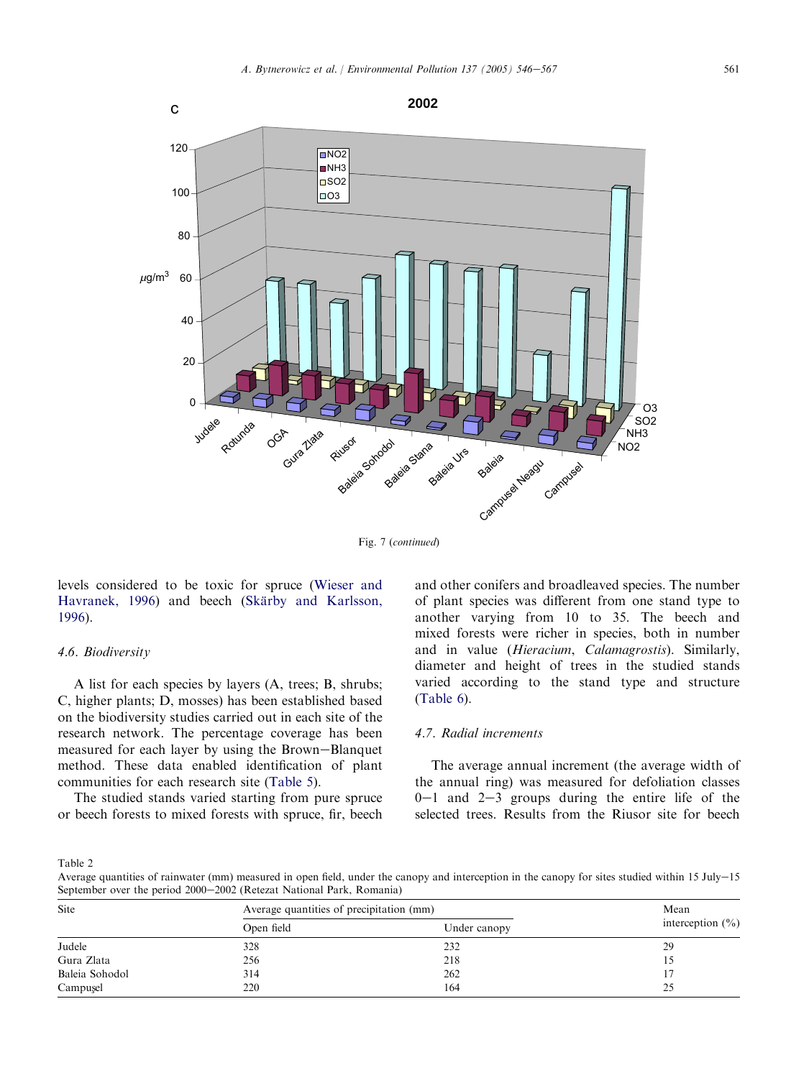<span id="page-15-0"></span>

Fig. 7 (continued)

levels considered to be toxic for spruce [\(Wieser and](#page-21-0) [Havranek, 1996](#page-21-0)) and beech (Skärby and Karlsson, [1996](#page-21-0)).

### 4.6. Biodiversity

A list for each species by layers (A, trees; B, shrubs; C, higher plants; D, mosses) has been established based on the biodiversity studies carried out in each site of the research network. The percentage coverage has been measured for each layer by using the Brown-Blanquet method. These data enabled identification of plant communities for each research site [\(Table 5\)](#page-19-0).

The studied stands varied starting from pure spruce or beech forests to mixed forests with spruce, fir, beech and other conifers and broadleaved species. The number of plant species was different from one stand type to another varying from 10 to 35. The beech and mixed forests were richer in species, both in number and in value (Hieracium, Calamagrostis). Similarly, diameter and height of trees in the studied stands varied according to the stand type and structure ([Table 6](#page-19-0)).

## 4.7. Radial increments

The average annual increment (the average width of the annual ring) was measured for defoliation classes  $0-1$  and  $2-3$  groups during the entire life of the selected trees. Results from the Riusor site for beech

Table 2

Average quantities of rainwater (mm) measured in open field, under the canopy and interception in the canopy for sites studied within 15 July-15 September over the period 2000–2002 (Retezat National Park, Romania)

| Site           | Average quantities of precipitation (mm) | Mean         |                      |  |
|----------------|------------------------------------------|--------------|----------------------|--|
|                | Open field                               | Under canopy | interception $(\% )$ |  |
| Judele         | 328                                      | 232          | 29                   |  |
| Gura Zlata     | 256                                      | 218          |                      |  |
| Baleia Sohodol | 314                                      | 262          |                      |  |
| Campuşel       | 220                                      | 164          | 25                   |  |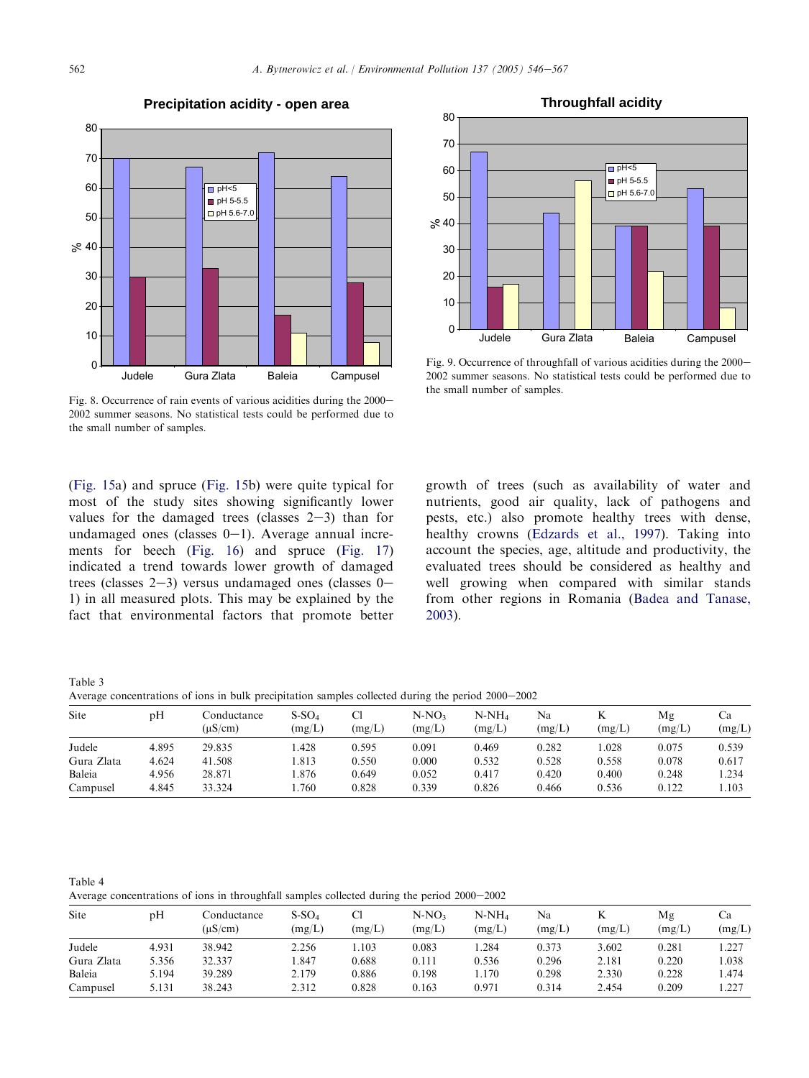<span id="page-16-0"></span>

#### **Precipitation acidity - open area**



Fig. 9. Occurrence of throughfall of various acidities during the 2000– 2002 summer seasons. No statistical tests could be performed due to the small number of samples.

Fig. 8. Occurrence of rain events of various acidities during the 2000– 2002 summer seasons. No statistical tests could be performed due to the small number of samples.

([Fig. 15a](#page-19-0)) and spruce ([Fig. 15b](#page-19-0)) were quite typical for most of the study sites showing significantly lower values for the damaged trees (classes  $2-3$ ) than for undamaged ones (classes  $0-1$ ). Average annual increments for beech ([Fig. 16](#page-20-0)) and spruce [\(Fig. 17](#page-20-0)) indicated a trend towards lower growth of damaged trees (classes  $2-3$ ) versus undamaged ones (classes  $0-$ 1) in all measured plots. This may be explained by the fact that environmental factors that promote better

growth of trees (such as availability of water and nutrients, good air quality, lack of pathogens and pests, etc.) also promote healthy trees with dense, healthy crowns ([Edzards et al., 1997](#page-21-0)). Taking into account the species, age, altitude and productivity, the evaluated trees should be considered as healthy and well growing when compared with similar stands from other regions in Romania [\(Badea and Tanase,](#page-20-0) [2003\)](#page-20-0).

Table 3

Average concentrations of ions in bulk precipitation samples collected during the period  $2000-2002$ 

| $\tilde{}$ |       |                             |                                             |        |                   |                    |              |        |              |              |
|------------|-------|-----------------------------|---------------------------------------------|--------|-------------------|--------------------|--------------|--------|--------------|--------------|
| Site       | pH    | Conductance<br>$(\mu S/cm)$ | $\mathrm{S}\text{-}\mathrm{SO}_4$<br>(mg/L) | (mg/L) | $N-NO3$<br>(mg/L) | $N-NH_4$<br>(mg/L) | Na<br>(mg/L) | (mg/L) | Mg<br>(mg/L) | Ca<br>(mg/L) |
| Judele     | 4.895 | 29.835                      | .428                                        | 0.595  | 0.091             | 0.469              | 0.282        | .028   | 0.075        | 0.539        |
| Gura Zlata | 4.624 | 41.508                      | .813                                        | 0.550  | 0.000             | 0.532              | 0.528        | 0.558  | 0.078        | 0.617        |
| Baleia     | 4.956 | 28.871                      | .876                                        | 0.649  | 0.052             | 0.417              | 0.420        | 0.400  | 0.248        | 1.234        |
| Campusel   | 4.845 | 33.324                      | .760                                        | 0.828  | 0.339             | 0.826              | 0.466        | 0.536  | 0.122        | 1.103        |

Table 4 Average concentrations of ions in throughfall samples collected during the period  $2000-2002$ 

| Site       | pΗ    | Conductance<br>$(\mu S/cm)$ | $S-SO4$<br>(mg/L) | Cì<br>(mg/L) | N-NO3<br>(mg/L) | N-NH <sub>4</sub><br>(mg/L) | Na<br>(mg/L) | K<br>(mg/L) | Mg<br>(mg/L) | Сa<br>(mg/L) |
|------------|-------|-----------------------------|-------------------|--------------|-----------------|-----------------------------|--------------|-------------|--------------|--------------|
| Judele     | 4.931 | 38.942                      | 2.256             | 1.103        | 0.083           | .284                        | 0.373        | 3.602       | 0.281        | 1.227        |
| Gura Zlata | 5.356 | 32.337                      | .847              | 0.688        | 0.111           | 0.536                       | 0.296        | 2.181       | 0.220        | 1.038        |
| Baleia     | 5.194 | 39.289                      | 2.179             | 0.886        | 0.198           | 1.170                       | 0.298        | 2.330       | 0.228        | 1.474        |
| Campusel   | 5.131 | 38.243                      | 2.312             | 0.828        | 0.163           | 0.971                       | 0.314        | 2.454       | 0.209        | 1.227        |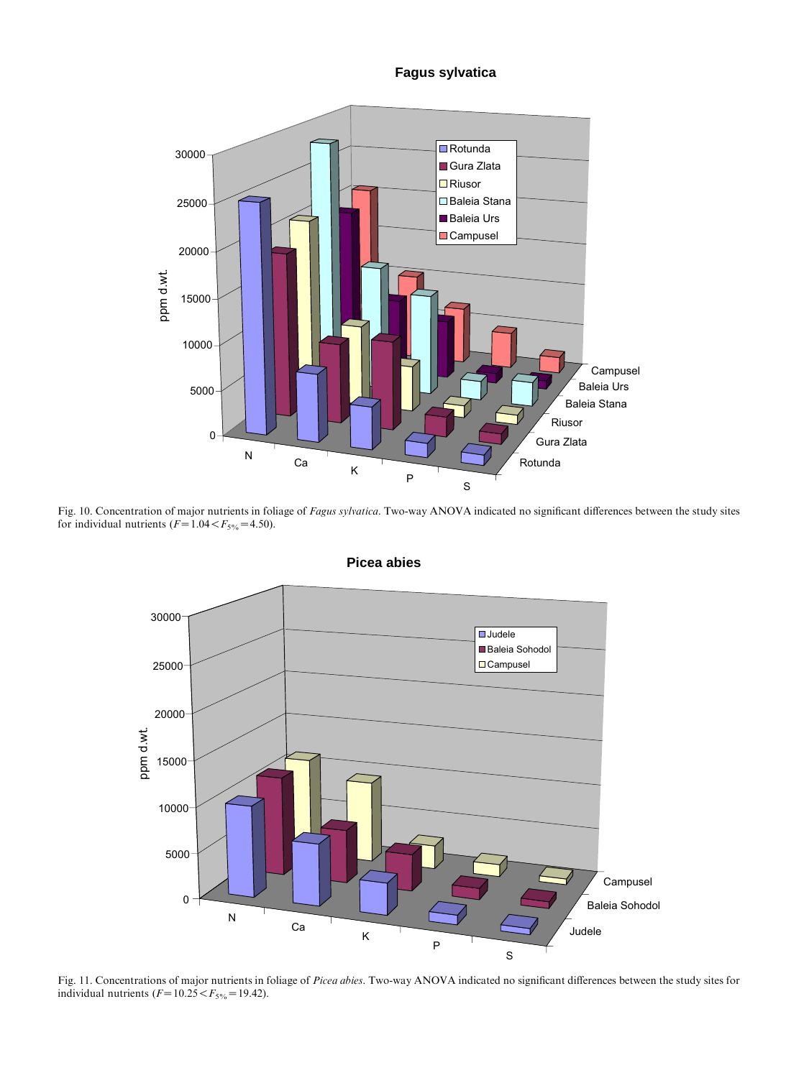**Fagus sylvatica**

<span id="page-17-0"></span>

Fig. 10. Concentration of major nutrients in foliage of Fagus sylvatica. Two-way ANOVA indicated no significant differences between the study sites for individual nutrients  $(F=1.04 < F<sub>5%</sub>=4.50)$ .



**Picea abies**

Fig. 11. Concentrations of major nutrients in foliage of Picea abies. Two-way ANOVA indicated no significant differences between the study sites for individual nutrients  $(F=10.25 < F<sub>5%</sub> = 19.42)$ .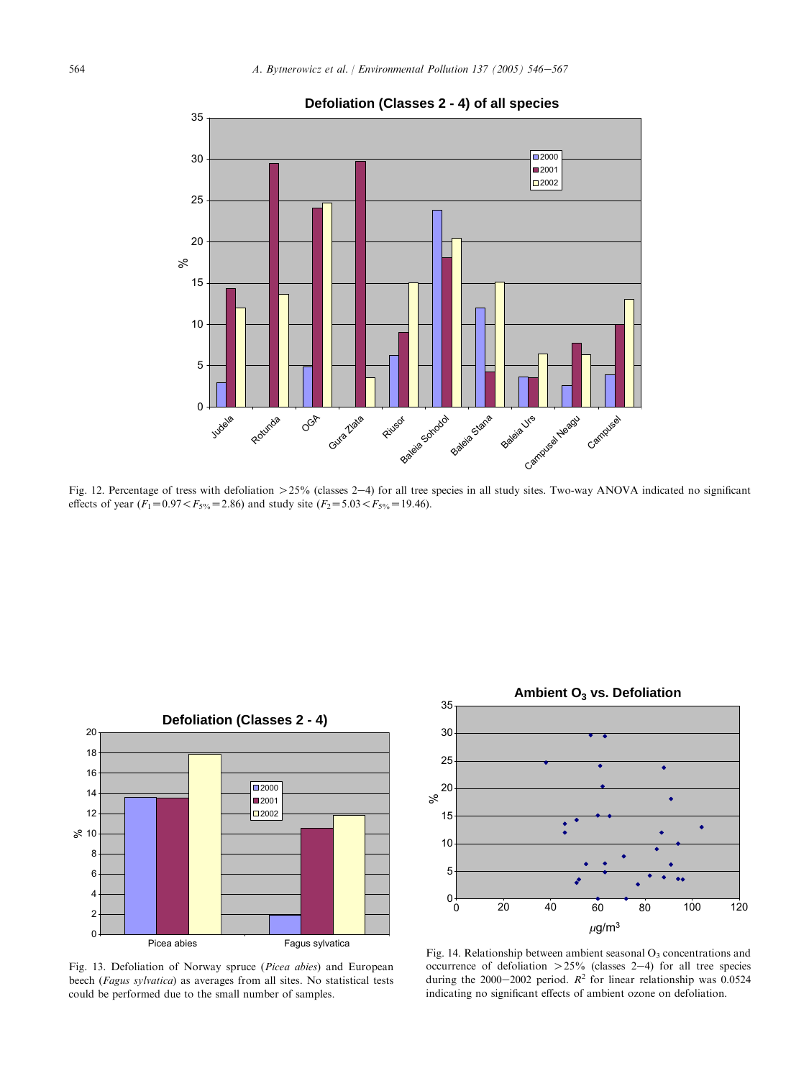<span id="page-18-0"></span>

**Defoliation (Classes 2 - 4) of all species**

Fig. 12. Percentage of tress with defoliation  $>25\%$  (classes 2-4) for all tree species in all study sites. Two-way ANOVA indicated no significant effects of year ( $F_1=0.97 < F_{5\%}=2.86$ ) and study site ( $F_2=5.03 < F_{5\%}=19.46$ ).



Fig. 13. Defoliation of Norway spruce (Picea abies) and European beech (Fagus sylvatica) as averages from all sites. No statistical tests could be performed due to the small number of samples.



Fig. 14. Relationship between ambient seasonal  $O_3$  concentrations and occurrence of defoliation  $>25\%$  (classes 2-4) for all tree species during the 2000–2002 period.  $R^2$  for linear relationship was 0.0524 indicating no significant effects of ambient ozone on defoliation.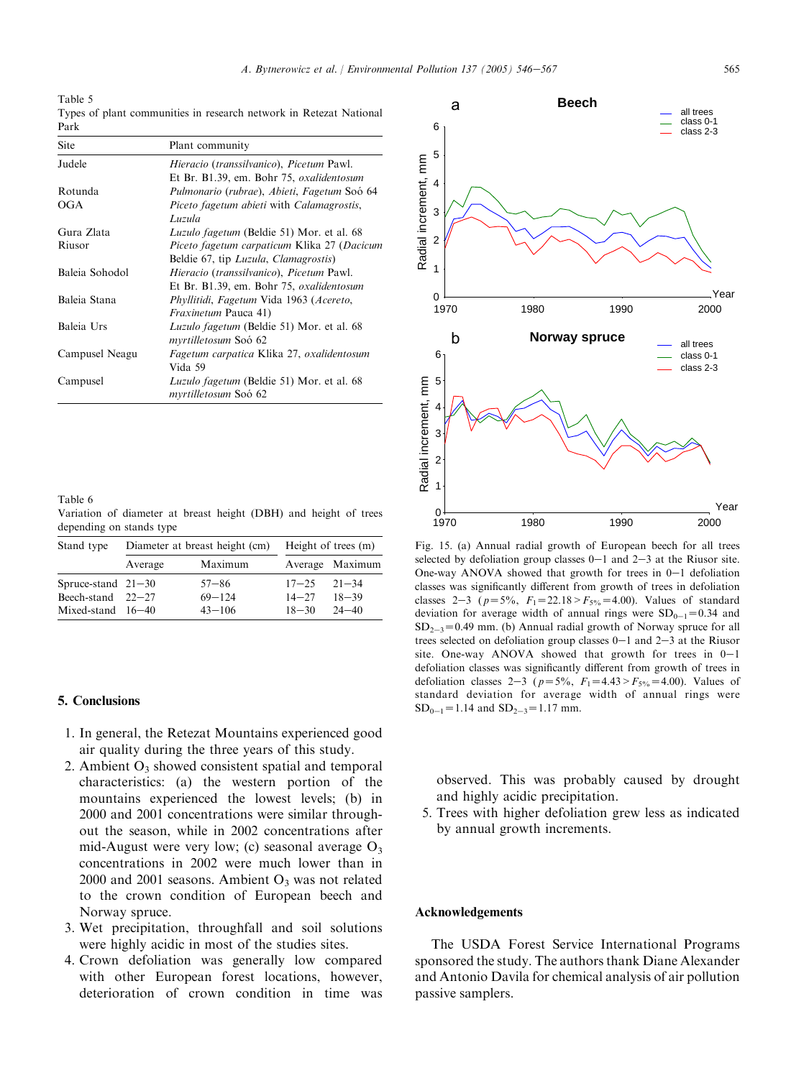<span id="page-19-0"></span>Table 5

Types of plant communities in research network in Retezat National Park

| Site           | Plant community                                                                      |
|----------------|--------------------------------------------------------------------------------------|
| Judele         | Hieracio (transsilvanico), Picetum Pawl.<br>Et Br. B1.39, em. Bohr 75, oxalidentosum |
| Rotunda        | Pulmonario (rubrae), Abieti, Fagetum Soó 64                                          |
| OGA            | Piceto fagetum abieti with Calamagrostis,<br>Luzula                                  |
| Gura Zlata     | <i>Luzulo fagetum</i> (Beldie 51) Mor. et al. 68                                     |
| Riusor         | Piceto fagetum carpaticum Klika 27 (Dacicum<br>Beldie 67, tip Luzula, Clamagrostis)  |
| Baleia Sohodol | Hieracio (transsilvanico), Picetum Pawl.<br>Et Br. B1.39, em. Bohr 75, oxalidentosum |
| Baleia Stana   | Phyllitidi, Fagetum Vida 1963 (Acereto,<br><i>Fraxinetum</i> Pauca 41)               |
| Baleia Urs     | <i>Luzulo fagetum</i> (Beldie 51) Mor. et al. 68<br>myrtilletosum Soó 62             |
| Campusel Neagu | Fagetum carpatica Klika 27, oxalidentosum<br>Vida 59                                 |
| Campusel       | <i>Luzulo fagetum</i> (Beldie 51) Mor. et al. 68<br>myrtilletosum Soó 62             |

Table 6 Variation of diameter at breast height (DBH) and height of trees depending on stands type

| Stand type           |         | Diameter at breast height (cm) | Height of trees (m) |                 |  |  |
|----------------------|---------|--------------------------------|---------------------|-----------------|--|--|
|                      | Average | Maximum                        |                     | Average Maximum |  |  |
| Spruce-stand $21-30$ |         | $57 - 86$                      | $17 - 25$ $21 - 34$ |                 |  |  |
| Beech-stand $22-27$  |         | $69 - 124$                     | $14 - 27$           | $18 - 39$       |  |  |
| Mixed-stand $16-40$  |         | $43 - 106$                     | $18 - 30$           | $24 - 40$       |  |  |

#### 5. Conclusions

- 1. In general, the Retezat Mountains experienced good air quality during the three years of this study.
- 2. Ambient  $O_3$  showed consistent spatial and temporal characteristics: (a) the western portion of the mountains experienced the lowest levels; (b) in 2000 and 2001 concentrations were similar throughout the season, while in 2002 concentrations after mid-August were very low; (c) seasonal average  $O_3$ concentrations in 2002 were much lower than in 2000 and 2001 seasons. Ambient  $O_3$  was not related to the crown condition of European beech and Norway spruce.
- 3. Wet precipitation, throughfall and soil solutions were highly acidic in most of the studies sites.
- 4. Crown defoliation was generally low compared with other European forest locations, however, deterioration of crown condition in time was



Fig. 15. (a) Annual radial growth of European beech for all trees selected by defoliation group classes  $0-1$  and  $2-3$  at the Riusor site. One-way ANOVA showed that growth for trees in  $0-1$  defoliation classes was significantly different from growth of trees in defoliation classes 2-3 ( $p=5\%$ ,  $F_1=22.18>F_{5\%}=4.00$ ). Values of standard deviation for average width of annual rings were  $SD_{0-1}=0.34$  and  $SD_{2-3}=0.49$  mm. (b) Annual radial growth of Norway spruce for all trees selected on defoliation group classes  $0-1$  and  $2-3$  at the Riusor site. One-way ANOVA showed that growth for trees in  $0-1$ defoliation classes was significantly different from growth of trees in defoliation classes 2-3 ( $p=5\%$ ,  $F_1=4.43>F_{5\%}=4.00$ ). Values of standard deviation for average width of annual rings were  $SD_{0-1} = 1.14$  and  $SD_{2-3} = 1.17$  mm.

observed. This was probably caused by drought and highly acidic precipitation.

5. Trees with higher defoliation grew less as indicated by annual growth increments.

#### Acknowledgements

The USDA Forest Service International Programs sponsored the study. The authors thank Diane Alexander and Antonio Davila for chemical analysis of air pollution passive samplers.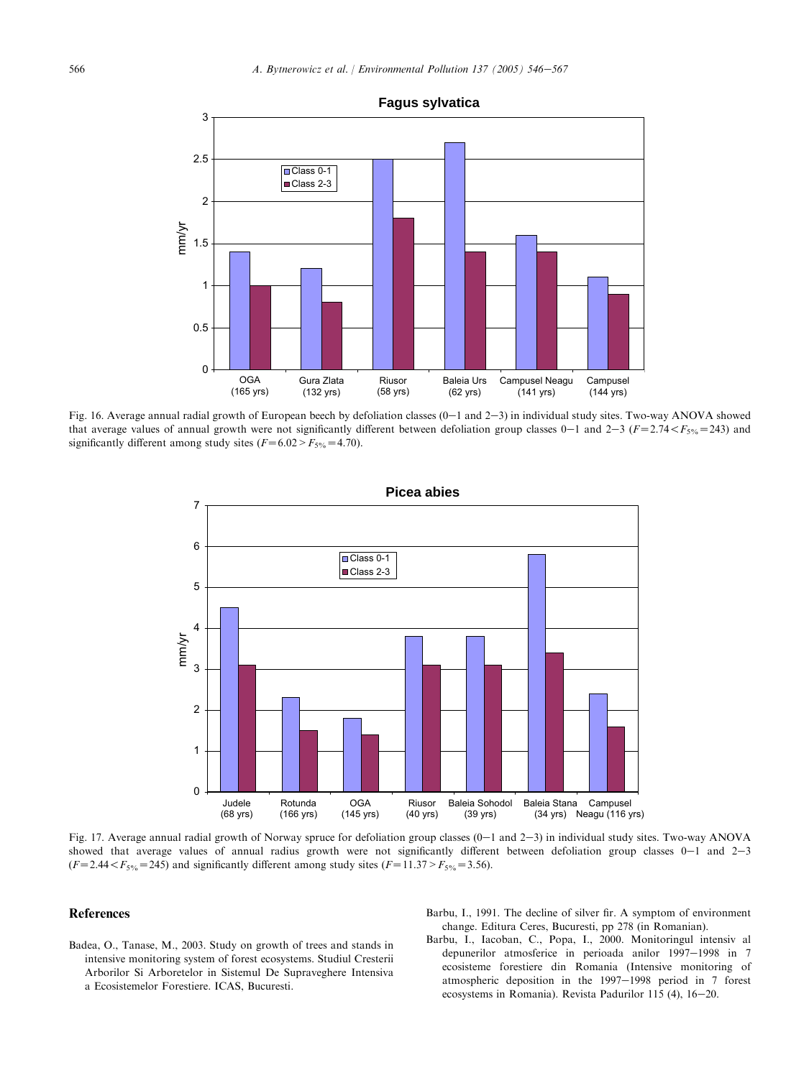<span id="page-20-0"></span>

Fig. 16. Average annual radial growth of European beech by defoliation classes  $(0-1$  and  $2-3)$  in individual study sites. Two-way ANOVA showed that average values of annual growth were not significantly different between defoliation group classes 0–1 and 2–3 ( $F=2.74 < F<sub>5%</sub>=243$ ) and significantly different among study sites  $(F=6.02 > F<sub>5%</sub>=4.70)$ .



Fig. 17. Average annual radial growth of Norway spruce for defoliation group classes  $(0-1$  and  $2-3)$  in individual study sites. Two-way ANOVA showed that average values of annual radius growth were not significantly different between defoliation group classes  $0-1$  and  $2-3$  $(F=2.44 < F<sub>5%</sub> = 245)$  and significantly different among study sites  $(F=11.37 > F<sub>5%</sub> = 3.56)$ .

#### References

- Badea, O., Tanase, M., 2003. Study on growth of trees and stands in intensive monitoring system of forest ecosystems. Studiul Cresterii Arborilor Si Arboretelor in Sistemul De Supraveghere Intensiva a Ecosistemelor Forestiere. ICAS, Bucuresti.
- Barbu, I., 1991. The decline of silver fir. A symptom of environment change. Editura Ceres, Bucuresti, pp 278 (in Romanian).
- Barbu, I., Iacoban, C., Popa, I., 2000. Monitoringul intensiv al depunerilor atmosferice in perioada anilor 1997-1998 in 7 ecosisteme forestiere din Romania (Intensive monitoring of atmospheric deposition in the  $1997-1998$  period in 7 forest ecosystems in Romania). Revista Padurilor 115 (4), 16-20.